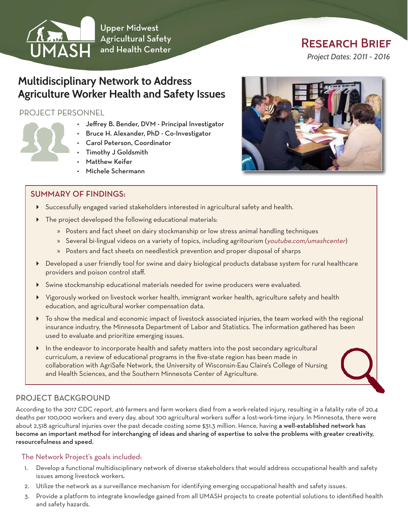

Upper Midwest Agricultural Safety and Health Center

# Research Brief

*Project Dates: 2011 - 2016*

## **Multidisciplinary Network to Address Agriculture Worker Health and Safety Issues**

#### PROJECT PERSONNEL

- Jeffrey B. Bender, DVM Principal Investigator
- Bruce H. Alexander, PhD Co-Investigator
- Carol Peterson, Coordinator
- Timothy J Goldsmith
- Matthew Keifer
- Michele Schermann

#### SUMMARY OF FINDINGS:

- $\triangleright$  Successfully engaged varied stakeholders interested in agricultural safety and health.
- The project developed the following educational materials:
	- » Posters and fact sheet on dairy stockmanship or low stress animal handling techniques
	- » Several bi-lingual videos on a variety of topics, including agritourism (you[tube.com/umashcenter](http://youtube.com/umashcenter))
	- » Posters and fact sheets on needlestick prevention and proper disposal of sharps
- Developed a user friendly tool for swine and dairy biological products database system for rural healthcare providers and poison control staff.
- Swine stockmanship educational materials needed for swine producers were evaluated.
- Vigorously worked on livestock worker health, immigrant worker health, agriculture safety and health education, and agricultural worker compensation data.
- To show the medical and economic impact of livestock associated injuries, the team worked with the regional insurance industry, the Minnesota Department of Labor and Statistics. The information gathered has been used to evaluate and prioritize emerging issues.
- In the endeavor to incorporate health and safety matters into the post secondary agricultural curriculum, a review of educational programs in the five-state region has been made in collaboration with AgriSafe Network, the University of Wisconsin-Eau Claire's College of Nursing and Health Sciences, and the Southern Minnesota Center of Agriculture.

### PROJECT BACKGROUND

According to the 2017 CDC report, 416 farmers and farm workers died from a work-related injury, resulting in a fatality rate of 20.4 deaths per 100,000 workers and every day, about 100 agricultural workers suffer a lost-work-time injury. In Minnesota, there were about 2,518 agricultural injuries over the past decade costing some \$31.3 million. Hence, having a well-established network has become an important method for interchanging of ideas and sharing of expertise to solve the problems with greater creativity, resourcefulness and speed.

#### The Network Project's goals included:

- 1. Develop a functional multidisciplinary network of diverse stakeholders that would address occupational health and safety issues among livestock workers.
- 2. Utilize the network as a surveillance mechanism for identifying emerging occupational health and safety issues.
- 3. Provide a platform to integrate knowledge gained from all UMASH projects to create potential solutions to identified health and safety hazards.